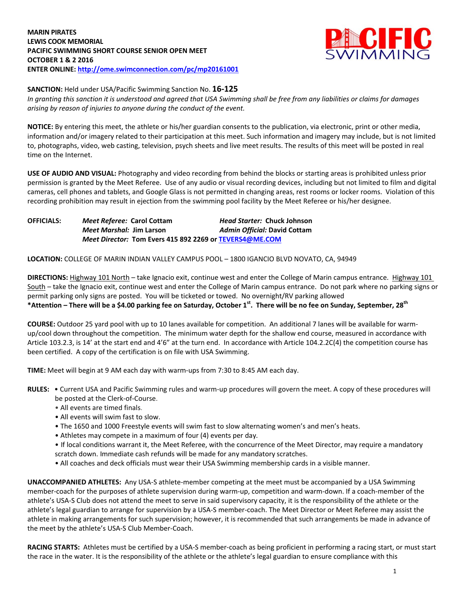

**SANCTION:** Held under USA/Pacific Swimming Sanction No. **16-125**

*In granting this sanction it is understood and agreed that USA Swimming shall be free from any liabilities or claims for damages arising by reason of injuries to anyone during the conduct of the event.*

**NOTICE:** By entering this meet, the athlete or his/her guardian consents to the publication, via electronic, print or other media, information and/or imagery related to their participation at this meet. Such information and imagery may include, but is not limited to, photographs, video, web casting, television, psych sheets and live meet results. The results of this meet will be posted in real time on the Internet.

**USE OF AUDIO AND VISUAL:** Photography and video recording from behind the blocks or starting areas is prohibited unless prior permission is granted by the Meet Referee. Use of any audio or visual recording devices, including but not limited to film and digital cameras, cell phones and tablets, and Google Glass is not permitted in changing areas, rest rooms or locker rooms. Violation of this recording prohibition may result in ejection from the swimming pool facility by the Meet Referee or his/her designee.

**OFFICIALS:** *Meet Referee:* **Carol Cottam** *Head Starter:* **Chuck Johnson** *Meet Marshal:* **Jim Larson** *Admin Official:* **David Cottam** *Meet Director:* **Tom Evers 415 892 2269 or [TEVERS4@ME.COM](mailto:TEVERS4@ME.COM)**

**LOCATION:** COLLEGE OF MARIN INDIAN VALLEY CAMPUS POOL – 1800 IGANCIO BLVD NOVATO, CA, 94949

**DIRECTIONS:** Highway 101 North – take Ignacio exit, continue west and enter the College of Marin campus entrance. Highway 101 South – take the Ignacio exit, continue west and enter the College of Marin campus entrance. Do not park where no parking signs or permit parking only signs are posted. You will be ticketed or towed. No overnight/RV parking allowed **\*Attention – There will be a \$4.00 parking fee on Saturday, October 1st. There will be no fee on Sunday, September, 28th**

**COURSE:** Outdoor 25 yard pool with up to 10 lanes available for competition. An additional 7 lanes will be available for warmup/cool down throughout the competition. The minimum water depth for the shallow end course, measured in accordance with Article 103.2.3, is 14' at the start end and 4'6" at the turn end. In accordance with Article 104.2.2C(4) the competition course has been certified. A copy of the certification is on file with USA Swimming.

**TIME:** Meet will begin at 9 AM each day with warm-ups from 7:30 to 8:45 AM each day.

- **RULES:**  Current USA and Pacific Swimming rules and warm-up procedures will govern the meet. A copy of these procedures will be posted at the Clerk-of-Course.
	- All events are timed finals.
	- All events will swim fast to slow.
	- The 1650 and 1000 Freestyle events will swim fast to slow alternating women's and men's heats.
	- Athletes may compete in a maximum of four (4) events per day.
	- If local conditions warrant it, the Meet Referee, with the concurrence of the Meet Director, may require a mandatory scratch down. Immediate cash refunds will be made for any mandatory scratches.
	- All coaches and deck officials must wear their USA Swimming membership cards in a visible manner.

**UNACCOMPANIED ATHLETES:** Any USA-S athlete-member competing at the meet must be accompanied by a USA Swimming member-coach for the purposes of athlete supervision during warm-up, competition and warm-down. If a coach-member of the athlete's USA-S Club does not attend the meet to serve in said supervisory capacity, it is the responsibility of the athlete or the athlete's legal guardian to arrange for supervision by a USA-S member-coach. The Meet Director or Meet Referee may assist the athlete in making arrangements for such supervision; however, it is recommended that such arrangements be made in advance of the meet by the athlete's USA-S Club Member-Coach.

**RACING STARTS:** Athletes must be certified by a USA-S member-coach as being proficient in performing a racing start, or must start the race in the water. It is the responsibility of the athlete or the athlete's legal guardian to ensure compliance with this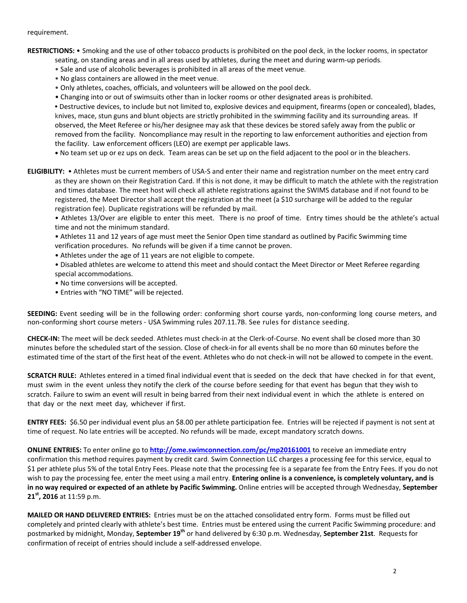## requirement.

**RESTRICTIONS:** • Smoking and the use of other tobacco products is prohibited on the pool deck, in the locker rooms, in spectator

- seating, on standing areas and in all areas used by athletes, during the meet and during warm-up periods.
- Sale and use of alcoholic beverages is prohibited in all areas of the meet venue.
- No glass containers are allowed in the meet venue.
- Only athletes, coaches, officials, and volunteers will be allowed on the pool deck.
- Changing into or out of swimsuits other than in locker rooms or other designated areas is prohibited.

**•** Destructive devices, to include but not limited to, explosive devices and equipment, firearms (open or concealed), blades, knives, mace, stun guns and blunt objects are strictly prohibited in the swimming facility and its surrounding areas. If observed, the Meet Referee or his/her designee may ask that these devices be stored safely away from the public or removed from the facility. Noncompliance may result in the reporting to law enforcement authorities and ejection from the facility. Law enforcement officers (LEO) are exempt per applicable laws.

**•** No team set up or ez ups on deck. Team areas can be set up on the field adjacent to the pool or in the bleachers.

**ELIGIBILITY:** • Athletes must be current members of USA-S and enter their name and registration number on the meet entry card as they are shown on their Registration Card. If this is not done, it may be difficult to match the athlete with the registration and times database. The meet host will check all athlete registrations against the SWIMS database and if not found to be registered, the Meet Director shall accept the registration at the meet (a \$10 surcharge will be added to the regular registration fee). Duplicate registrations will be refunded by mail.

• Athletes 13/Over are eligible to enter this meet. There is no proof of time. Entry times should be the athlete's actual time and not the minimum standard.

• Athletes 11 and 12 years of age must meet the Senior Open time standard as outlined by Pacific Swimming time verification procedures. No refunds will be given if a time cannot be proven.

- Athletes under the age of 11 years are not eligible to compete.
- Disabled athletes are welcome to attend this meet and should contact the Meet Director or Meet Referee regarding special accommodations.
- No time conversions will be accepted.
- Entries with "NO TIME" will be rejected.

**SEEDING:** Event seeding will be in the following order: conforming short course yards, non-conforming long course meters, and non-conforming short course meters - USA Swimming rules 207.11.7B. See rules for distance seeding.

**CHECK-IN:** The meet will be deck seeded. Athletes must check-in at the Clerk-of-Course. No event shall be closed more than 30 minutes before the scheduled start of the session. Close of check‐in for all events shall be no more than 60 minutes before the estimated time of the start of the first heat of the event. Athletes who do not check-in will not be allowed to compete in the event.

**SCRATCH RULE:** Athletes entered in a timed final individual event that is seeded on the deck that have checked in for that event, must swim in the event unless they notify the clerk of the course before seeding for that event has begun that they wish to scratch. Failure to swim an event will result in being barred from their next individual event in which the athlete is entered on that day or the next meet day, whichever if first.

**ENTRY FEES:** \$6.50 per individual event plus an \$8.00 per athlete participation fee. Entries will be rejected if payment is not sent at time of request. No late entries will be accepted. No refunds will be made, except mandatory scratch downs.

**ONLINE ENTRIES:** To enter online go to **<http://ome.swimconnection.com/pc/mp20161001>** to receive an immediate entry confirmation this method requires payment by credit card. Swim Connection LLC charges a processing fee for this service, equal to \$1 per athlete plus 5% of the total Entry Fees. Please note that the processing fee is a separate fee from the Entry Fees. If you do not wish to pay the processing fee, enter the meet using a mail entry. **Entering online is a convenience, is completely voluntary, and is in no way required or expected of an athlete by Pacific Swimming.** Online entries will be accepted through Wednesday, **September 21st, 2016** at 11:59 p.m.

**MAILED OR HAND DELIVERED ENTRIES:** Entries must be on the attached consolidated entry form. Forms must be filled out completely and printed clearly with athlete's best time. Entries must be entered using the current Pacific Swimming procedure: and postmarked by midnight, Monday, **September 19th** or hand delivered by 6:30 p.m. Wednesday, **September 21st**. Requests for confirmation of receipt of entries should include a self-addressed envelope.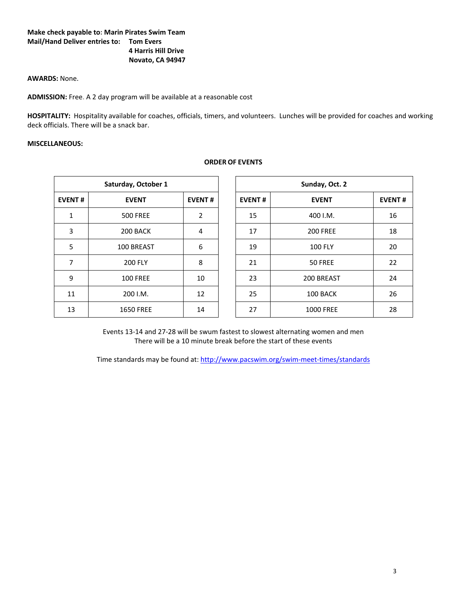## **Make check payable to: Marin Pirates Swim Team Mail/Hand Deliver entries to: Tom Evers 4 Harris Hill Drive Novato, CA 94947**

## **AWARDS:** None.

**ADMISSION:** Free. A 2 day program will be available at a reasonable cost

**HOSPITALITY:** Hospitality available for coaches, officials, timers, and volunteers. Lunches will be provided for coaches and working deck officials. There will be a snack bar.

**ORDER OF EVENTS**

## **MISCELLANEOUS:**

|               | Saturday, October 1 |                | Sunday, Oct. 2 |                  |
|---------------|---------------------|----------------|----------------|------------------|
| <b>EVENT#</b> | <b>EVENT</b>        | <b>EVENT#</b>  | <b>EVENT#</b>  | <b>EVENT</b>     |
| 1             | <b>500 FREE</b>     | $\overline{2}$ | 15             | 400 I.M.         |
| 3             | 200 BACK            | 4              | 17             | <b>200 FREE</b>  |
| 5             | 100 BREAST          | 6              | 19             | <b>100 FLY</b>   |
| 7             | <b>200 FLY</b>      | 8              | 21             | 50 FREE          |
| 9             | <b>100 FREE</b>     | 10             | 23             | 200 BREAST       |
| 11            | 200 I.M.            | 12             | 25             | 100 BACK         |
| 13            | <b>1650 FREE</b>    | 14             | 27             | <b>1000 FREE</b> |

|               | Saturday, October 1 |                | Sunday, Oct. 2 |                  |               |  |  |  |
|---------------|---------------------|----------------|----------------|------------------|---------------|--|--|--|
| <b>EVENT#</b> | <b>EVENT</b>        | <b>EVENT#</b>  | <b>EVENT#</b>  | <b>EVENT</b>     | <b>EVENT#</b> |  |  |  |
| 1             | <b>500 FREE</b>     | $\overline{2}$ | 15             | 400 I.M.         | 16            |  |  |  |
| 3             | 200 BACK            | 4              | 17             | <b>200 FREE</b>  | 18            |  |  |  |
| 5             | 100 BREAST          | 6              | 19             | <b>100 FLY</b>   | 20            |  |  |  |
| 7             | <b>200 FLY</b>      | 8              | 21             | 50 FREE          | 22            |  |  |  |
| 9             | <b>100 FREE</b>     | 10             | 23             | 200 BREAST       | 24            |  |  |  |
| 11            | 200 I.M.            | 12             | 25             | 100 BACK         | 26            |  |  |  |
| 13            | <b>1650 FREE</b>    | 14             | 27             | <b>1000 FREE</b> | 28            |  |  |  |

Events 13-14 and 27-28 will be swum fastest to slowest alternating women and men There will be a 10 minute break before the start of these events

Time standards may be found at:<http://www.pacswim.org/swim-meet-times/standards>